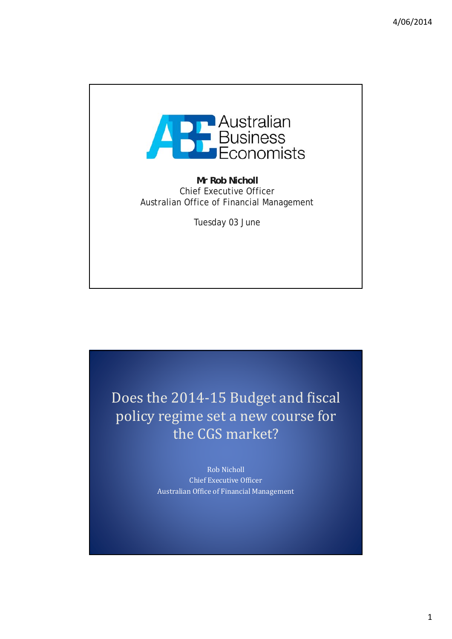

**Mr Rob Nicholl** Chief Executive Officer Australian Office of Financial Management

Tuesday 03 June

Does the 2014-15 Budget and fiscal policy regime set a new course for the CGS market?

> Rob Nicholl Chief Executive Officer Australian Office of Financial Management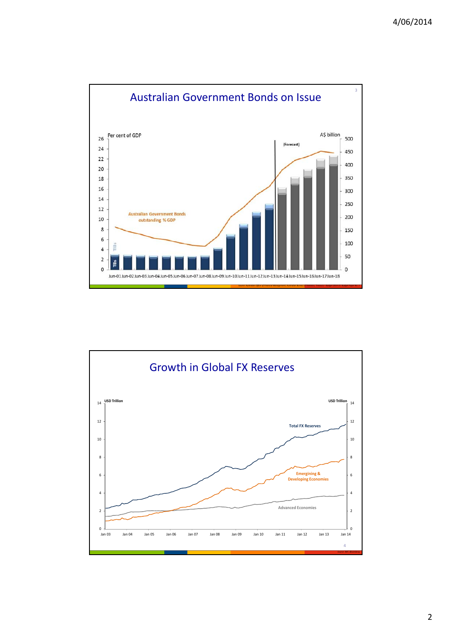

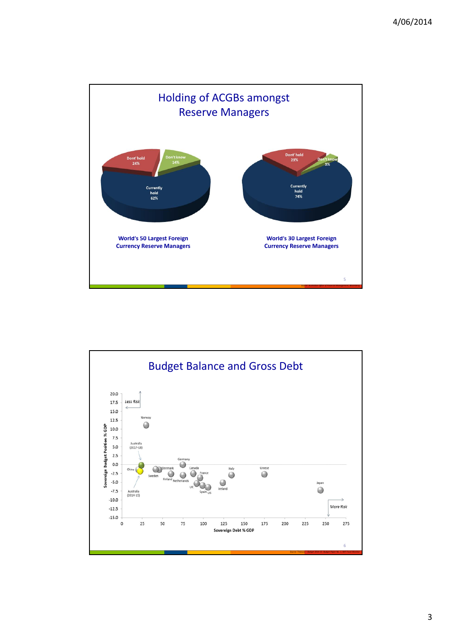

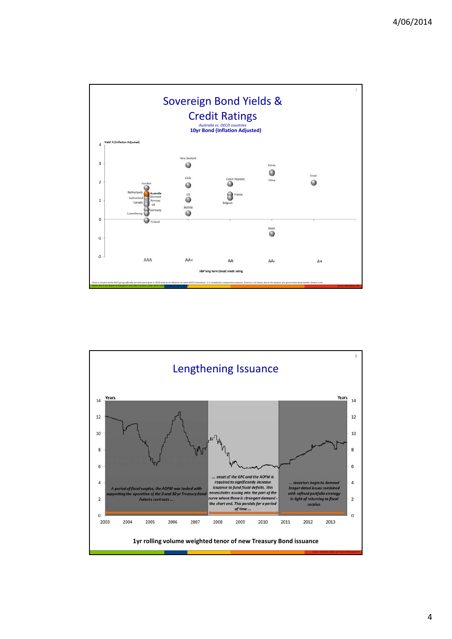